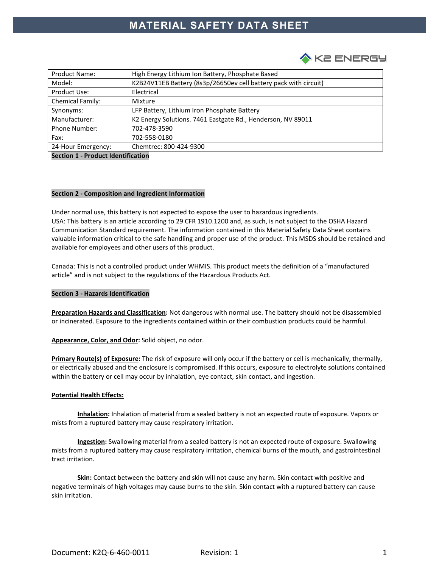

| <b>Product Name:</b> | High Energy Lithium Ion Battery, Phosphate Based                 |
|----------------------|------------------------------------------------------------------|
| Model:               | K2B24V11EB Battery (8s3p/26650ev cell battery pack with circuit) |
| Product Use:         | Electrical                                                       |
| Chemical Family:     | Mixture                                                          |
| Synonyms:            | LFP Battery, Lithium Iron Phosphate Battery                      |
| Manufacturer:        | K2 Energy Solutions. 7461 Eastgate Rd., Henderson, NV 89011      |
| <b>Phone Number:</b> | 702-478-3590                                                     |
| Fax:                 | 702-558-0180                                                     |
| 24-Hour Emergency:   | Chemtrec: 800-424-9300                                           |

**Section 1 - Product Identification** 

# **Section 2 - Composition and Ingredient Information**

Under normal use, this battery is not expected to expose the user to hazardous ingredients. USA: This battery is an article according to 29 CFR 1910.1200 and, as such, is not subject to the OSHA Hazard Communication Standard requirement. The information contained in this Material Safety Data Sheet contains valuable information critical to the safe handling and proper use of the product. This MSDS should be retained and available for employees and other users of this product.

Canada: This is not a controlled product under WHMIS. This product meets the definition of a "manufactured article" and is not subject to the regulations of the Hazardous Products Act.

### **Section 3 - Hazards Identification**

**Preparation Hazards and Classification:** Not dangerous with normal use. The battery should not be disassembled or incinerated. Exposure to the ingredients contained within or their combustion products could be harmful.

**Appearance, Color, and Odor:** Solid object, no odor.

**Primary Route(s) of Exposure:** The risk of exposure will only occur if the battery or cell is mechanically, thermally, or electrically abused and the enclosure is compromised. If this occurs, exposure to electrolyte solutions contained within the battery or cell may occur by inhalation, eye contact, skin contact, and ingestion.

#### **Potential Health Effects:**

**Inhalation:** Inhalation of material from a sealed battery is not an expected route of exposure. Vapors or mists from a ruptured battery may cause respiratory irritation.

**Ingestion:** Swallowing material from a sealed battery is not an expected route of exposure. Swallowing mists from a ruptured battery may cause respiratory irritation, chemical burns of the mouth, and gastrointestinal tract irritation.

**Skin:** Contact between the battery and skin will not cause any harm. Skin contact with positive and negative terminals of high voltages may cause burns to the skin. Skin contact with a ruptured battery can cause skin irritation.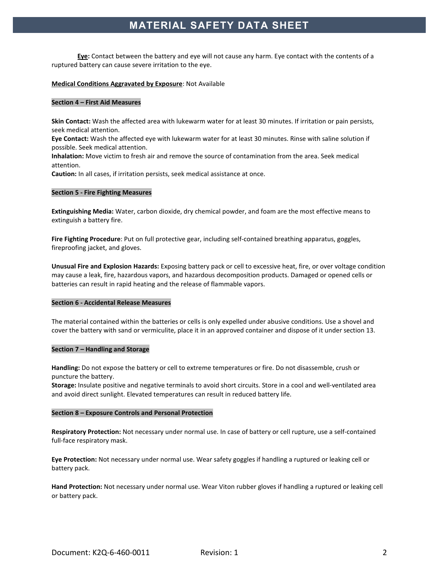**Eye:** Contact between the battery and eye will not cause any harm. Eye contact with the contents of a ruptured battery can cause severe irritation to the eye.

### **Medical Conditions Aggravated by Exposure**: Not Available

# **Section 4 – First Aid Measures**

**Skin Contact:** Wash the affected area with lukewarm water for at least 30 minutes. If irritation or pain persists, seek medical attention.

**Eye Contact:** Wash the affected eye with lukewarm water for at least 30 minutes. Rinse with saline solution if possible. Seek medical attention.

**Inhalation:** Move victim to fresh air and remove the source of contamination from the area. Seek medical attention.

**Caution:** In all cases, if irritation persists, seek medical assistance at once.

### **Section 5 - Fire Fighting Measures**

**Extinguishing Media:** Water, carbon dioxide, dry chemical powder, and foam are the most effective means to extinguish a battery fire.

**Fire Fighting Procedure**: Put on full protective gear, including self-contained breathing apparatus, goggles, fireproofing jacket, and gloves.

**Unusual Fire and Explosion Hazards:** Exposing battery pack or cell to excessive heat, fire, or over voltage condition may cause a leak, fire, hazardous vapors, and hazardous decomposition products. Damaged or opened cells or batteries can result in rapid heating and the release of flammable vapors.

### **Section 6 - Accidental Release Measures**

The material contained within the batteries or cells is only expelled under abusive conditions. Use a shovel and cover the battery with sand or vermiculite, place it in an approved container and dispose of it under section 13.

### **Section 7 – Handling and Storage**

**Handling:** Do not expose the battery or cell to extreme temperatures or fire. Do not disassemble, crush or puncture the battery.

**Storage:** Insulate positive and negative terminals to avoid short circuits. Store in a cool and well-ventilated area and avoid direct sunlight. Elevated temperatures can result in reduced battery life.

### **Section 8 – Exposure Controls and Personal Protection**

**Respiratory Protection:** Not necessary under normal use. In case of battery or cell rupture, use a self-contained full-face respiratory mask.

**Eye Protection:** Not necessary under normal use. Wear safety goggles if handling a ruptured or leaking cell or battery pack.

**Hand Protection:** Not necessary under normal use. Wear Viton rubber gloves if handling a ruptured or leaking cell or battery pack.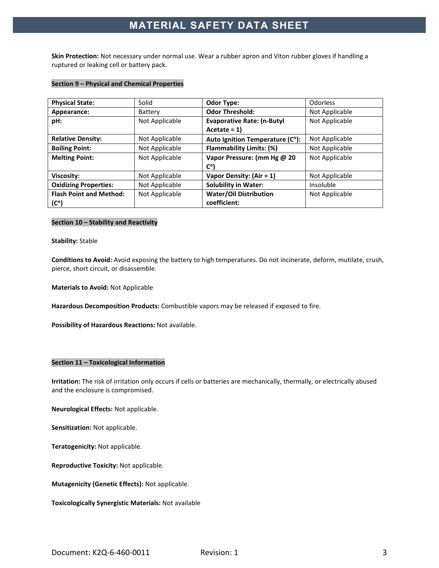**Skin Protection:** Not necessary under normal use. Wear a rubber apron and Viton rubber gloves if handling a ruptured or leaking cell or battery pack.

# **Section 9 – Physical and Chemical Properties**

| <b>Physical State:</b>         | Solid          | <b>Odor Type:</b>                 | <b>Odorless</b> |
|--------------------------------|----------------|-----------------------------------|-----------------|
| Appearance:                    | Battery        | <b>Odor Threshold:</b>            | Not Applicable  |
| pH:                            | Not Applicable | <b>Evaporative Rate: (n-Butyl</b> | Not Applicable  |
|                                |                | $Accitate = 1$                    |                 |
| <b>Relative Density:</b>       | Not Applicable | Auto Ignition Temperature (C°):   | Not Applicable  |
| <b>Boiling Point:</b>          | Not Applicable | <b>Flammability Limits: (%)</b>   | Not Applicable  |
| <b>Melting Point:</b>          | Not Applicable | Vapor Pressure: (mm Hg @ 20       | Not Applicable  |
|                                |                | $C^{\circ}$                       |                 |
| Viscosity:                     | Not Applicable | Vapor Density: (Air = 1)          | Not Applicable  |
| <b>Oxidizing Properties:</b>   | Not Applicable | <b>Solubility in Water:</b>       | Insoluble       |
| <b>Flash Point and Method:</b> | Not Applicable | <b>Water/Oil Distribution</b>     | Not Applicable  |
| $(C^{\circ})$                  |                | coefficient:                      |                 |

# **Section 10 – Stability and Reactivity**

### **Stability:** Stable

**Conditions to Avoid:** Avoid exposing the battery to high temperatures. Do not incinerate, deform, mutilate, crush, pierce, short circuit, or disassemble.

**Materials to Avoid:** Not Applicable

**Hazardous Decomposition Products:** Combustible vapors may be released if exposed to fire.

**Possibility of Hazardous Reactions:** Not available.

### **Section 11 – Toxicological Information**

**Irritation:** The risk of irritation only occurs if cells or batteries are mechanically, thermally, or electrically abused and the enclosure is compromised.

**Neurological Effects:** Not applicable.

**Sensitization:** Not applicable.

**Teratogenicity:** Not applicable.

**Reproductive Toxicity:** Not applicable.

**Mutagenicity (Genetic Effects):** Not applicable.

**Toxicologically Synergistic Materials:** Not available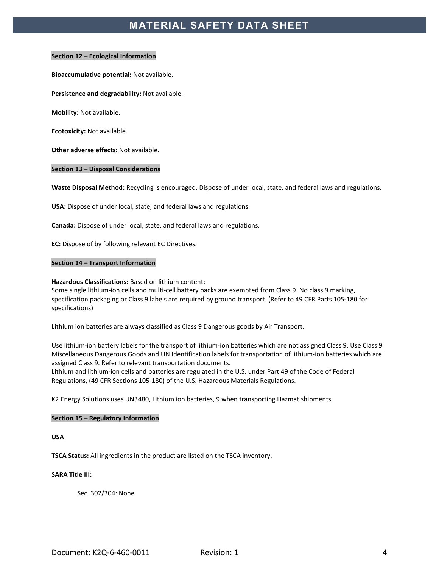### **Section 12 – Ecological Information**

**Bioaccumulative potential:** Not available.

**Persistence and degradability:** Not available.

**Mobility:** Not available.

**Ecotoxicity:** Not available.

**Other adverse effects:** Not available.

### **Section 13 – Disposal Considerations**

**Waste Disposal Method:** Recycling is encouraged. Dispose of under local, state, and federal laws and regulations.

**USA:** Dispose of under local, state, and federal laws and regulations.

**Canada:** Dispose of under local, state, and federal laws and regulations.

**EC:** Dispose of by following relevant EC Directives.

#### **Section 14 – Transport Information**

#### **Hazardous Classifications:** Based on lithium content:

Some single lithium-ion cells and multi-cell battery packs are exempted from Class 9. No class 9 marking, specification packaging or Class 9 labels are required by ground transport. (Refer to 49 CFR Parts 105-180 for specifications)

Lithium ion batteries are always classified as Class 9 Dangerous goods by Air Transport.

Use lithium-ion battery labels for the transport of lithium-ion batteries which are not assigned Class 9. Use Class 9 Miscellaneous Dangerous Goods and UN Identification labels for transportation of lithium-ion batteries which are assigned Class 9. Refer to relevant transportation documents.

Lithium and lithium-ion cells and batteries are regulated in the U.S. under Part 49 of the Code of Federal Regulations, (49 CFR Sections 105-180) of the U.S. Hazardous Materials Regulations.

K2 Energy Solutions uses UN3480, Lithium ion batteries, 9 when transporting Hazmat shipments.

#### **Section 15 – Regulatory Information**

**USA** 

**TSCA Status:** All ingredients in the product are listed on the TSCA inventory.

**SARA Title III:** 

Sec. 302/304: None